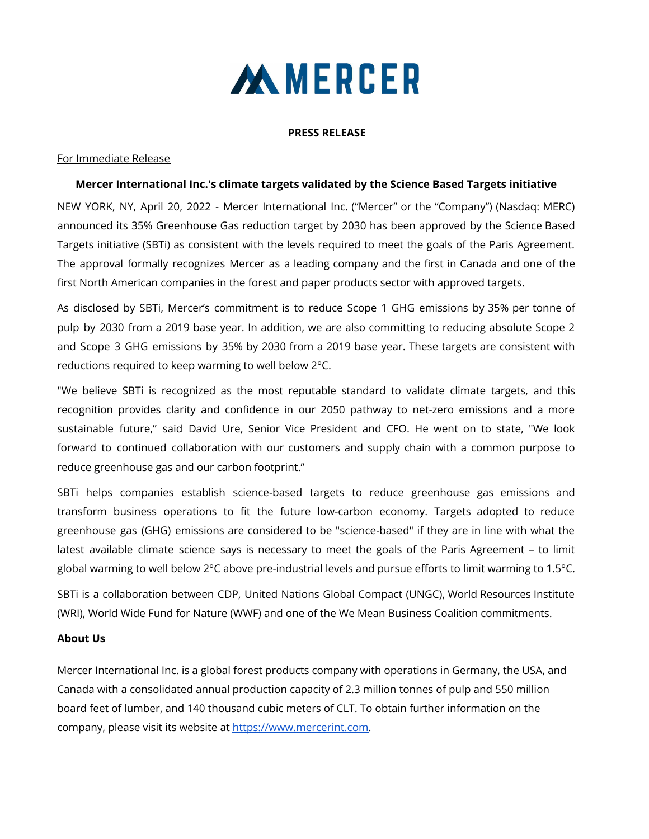

#### **PRESS RELEASE**

#### For Immediate Release

### **Mercer International Inc.'s climate targets validated by the Science Based Targets initiative**

NEW YORK, NY, April 20, 2022 - Mercer International Inc. ("Mercer" or the "Company") (Nasdaq: MERC) announced its 35% Greenhouse Gas reduction target by 2030 has been approved by the Science Based Targets initiative (SBTi) as consistent with the levels required to meet the goals of the Paris Agreement. The approval formally recognizes Mercer as a leading company and the first in Canada and one of the first North American companies in the forest and paper products sector with approved targets.

As disclosed by SBTi, Mercer's commitment is to reduce Scope 1 GHG emissions by 35% per tonne of pulp by 2030 from a 2019 base year. In addition, we are also committing to reducing absolute Scope 2 and Scope 3 GHG emissions by 35% by 2030 from a 2019 base year. These targets are consistent with reductions required to keep warming to well below 2°C.

"We believe SBTi is recognized as the most reputable standard to validate climate targets, and this recognition provides clarity and confidence in our 2050 pathway to net-zero emissions and a more sustainable future," said David Ure, Senior Vice President and CFO. He went on to state, "We look forward to continued collaboration with our customers and supply chain with a common purpose to reduce greenhouse gas and our carbon footprint."

SBTi helps companies establish science-based targets to reduce greenhouse gas emissions and transform business operations to fit the future low-carbon economy. Targets adopted to reduce greenhouse gas (GHG) emissions are considered to be "science-based" if they are in line with what the latest available climate science says is necessary to meet the goals of the Paris Agreement – to limit global warming to well below 2°C above pre-industrial levels and pursue efforts to limit warming to 1.5°C.

SBTi is a collaboration between CDP, United Nations Global Compact (UNGC), World Resources Institute (WRI), World Wide Fund for Nature (WWF) and one of the We Mean Business Coalition commitments.

#### **About Us**

Mercer International Inc. is a global forest products company with operations in Germany, the USA, and Canada with a consolidated annual production capacity of 2.3 million tonnes of pulp and 550 million board feet of lumber, and 140 thousand cubic meters of CLT. To obtain further information on the company, please visit its website at [https://www.mercerint.com.](https://www.mercerint.com)